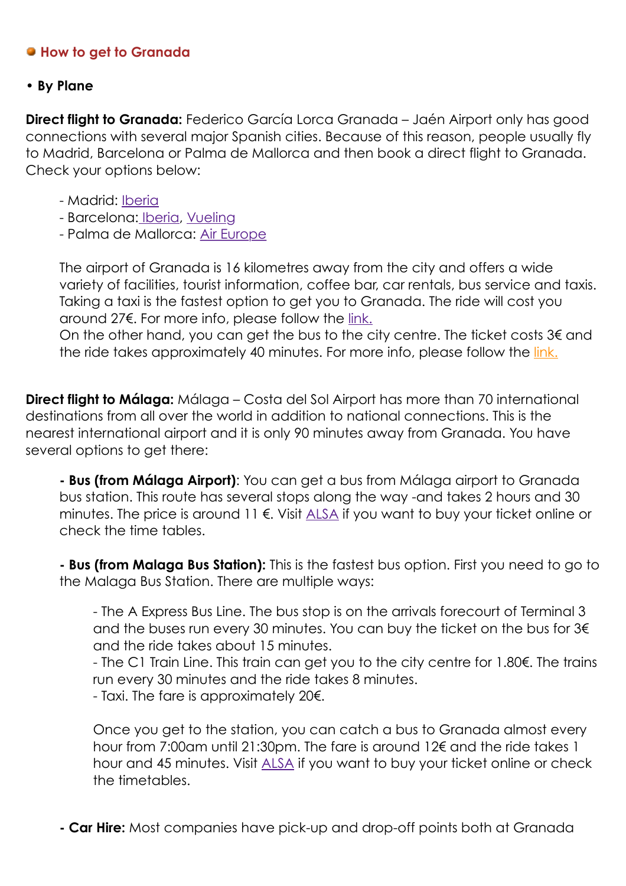### **How to get to Granada**

#### • **By Plane**

**Direct flight to Granada:** Federico García Lorca Granada – Jaén Airport only has good connections with several major Spanish cities. Because of this reason, people usually fly to Madrid, Barcelona or Palma de Mallorca and then book a direct flight to Granada. Check your options below:

- Madrid: **[Iberia](http://www.iberia.com/gb/?language=en)**
- Barcelona: [Iberia](http://www.iberia.com/gb/?language=en), [Vueling](http://www.vueling.com/en)
- Palma de Mallorca: [Air Europe](https://www.aireuropa.com/en/flights)

The airport of Granada is 16 kilometres away from the city and offers a wide variety of facilities, tourist information, coffee bar, car rentals, bus service and taxis. Taking a taxi is the fastest option to get you to Granada. The ride will cost you around 27€. For more info, please follow the [link.](http://www.aena.es/en/federico-garcia-lorca-granada-jaen-airport/taxi.html)

On the other hand, you can get the bus to the city centre. The ticket costs  $3\notin$  and the ride takes approximately 40 minutes. For more info, please follow the [link.](http://www.aena.es/en/federico-garcia-lorca-granada-jaen-airport/index.html)

**Direct flight to Málaga:** Málaga – Costa del Sol Airport has more than 70 international destinations from all over the world in addition to national connections. This is the nearest international airport and it is only 90 minutes away from Granada. You have several options to get there:

**- Bus (from Málaga Airport)**: You can get a bus from Málaga airport to Granada bus station. This route has several stops along the way -and takes 2 hours and 30 minutes. The price is around 11 €. Visit [ALSA](https://www.alsa.com/en/web/bus/home) if you want to buy your ticket online or check the time tables.

**- Bus (from Malaga Bus Station):** This is the fastest bus option. First you need to go to the Malaga Bus Station. There are multiple ways:

- The A Express Bus Line. The bus stop is on the arrivals forecourt of Terminal 3 and the buses run every 30 minutes. You can buy the ticket on the bus for 3€ and the ride takes about 15 minutes.

- The C1 Train Line. This train can get you to the city centre for 1.80€. The trains run every 30 minutes and the ride takes 8 minutes.

- Taxi. The fare is approximately 20€.

Once you get to the station, you can catch a bus to Granada almost every hour from 7:00am until 21:30pm. The fare is around 12€ and the ride takes 1 hour and 45 minutes. Visit [ALSA](https://www.alsa.com/en/web/bus/home) if you want to buy your ticket online or check the timetables.

**- Car Hire:** Most companies have pick-up and drop-off points both at Granada